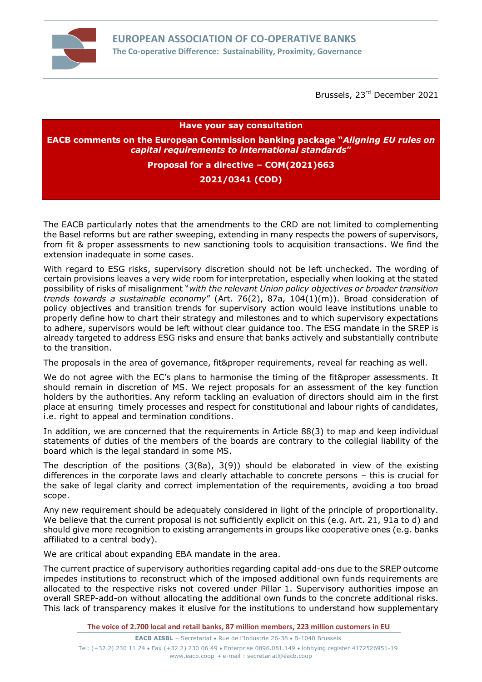

Brussels, 23<sup>rd</sup> December 2021

**Have your say consultation**

**EACB comments on the European Commission banking package "***Aligning EU rules on capital requirements to international standards***"**

**Proposal for a directive – COM(2021)663**

## **2021/0341 (COD)**

The EACB particularly notes that the amendments to the CRD are not limited to complementing the Basel reforms but are rather sweeping, extending in many respects the powers of supervisors, from fit & proper assessments to new sanctioning tools to acquisition transactions. We find the extension inadequate in some cases.

With regard to ESG risks, supervisory discretion should not be left unchecked. The wording of certain provisions leaves a very wide room for interpretation, especially when looking at the stated possibility of risks of misalignment "*with the relevant Union policy objectives or broader transition trends towards a sustainable economy*" (Art. 76(2), 87a, 104(1)(m)). Broad consideration of policy objectives and transition trends for supervisory action would leave institutions unable to properly define how to chart their strategy and milestones and to which supervisory expectations to adhere, supervisors would be left without clear guidance too. The ESG mandate in the SREP is already targeted to address ESG risks and ensure that banks actively and substantially contribute to the transition.

The proposals in the area of governance, fit&proper requirements, reveal far reaching as well.

We do not agree with the EC's plans to harmonise the timing of the fit&proper assessments. It should remain in discretion of MS. We reject proposals for an assessment of the key function holders by the authorities. Any reform tackling an evaluation of directors should aim in the first place at ensuring timely processes and respect for constitutional and labour rights of candidates, i.e. right to appeal and termination conditions.

In addition, we are concerned that the requirements in Article 88(3) to map and keep individual statements of duties of the members of the boards are contrary to the collegial liability of the board which is the legal standard in some MS.

The description of the positions (3(8a), 3(9)) should be elaborated in view of the existing differences in the corporate laws and clearly attachable to concrete persons – this is crucial for the sake of legal clarity and correct implementation of the requirements, avoiding a too broad scope.

Any new requirement should be adequately considered in light of the principle of proportionality. We believe that the current proposal is not sufficiently explicit on this (e.g. Art. 21, 91a to d) and should give more recognition to existing arrangements in groups like cooperative ones (e.g. banks affiliated to a central body).

We are critical about expanding EBA mandate in the area.

The current practice of supervisory authorities regarding capital add-ons due to the SREP outcome impedes institutions to reconstruct which of the imposed additional own funds requirements are allocated to the respective risks not covered under Pillar 1. Supervisory authorities impose an overall SREP-add-on without allocating the additional own funds to the concrete additional risks. This lack of transparency makes it elusive for the institutions to understand how supplementary

**The voice of 2.700 local and retail banks, 87 million members, 223 million customers in EU**